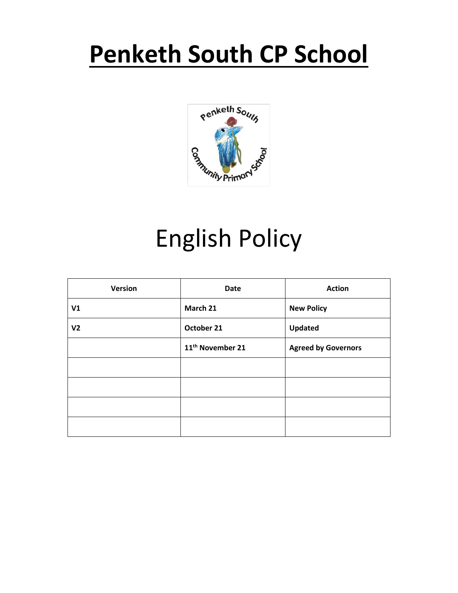# **Penketh South CP School**



# English Policy

| Version        | <b>Date</b>                  | <b>Action</b>              |
|----------------|------------------------------|----------------------------|
| V1             | March 21                     | <b>New Policy</b>          |
| V <sub>2</sub> | October 21                   | Updated                    |
|                | 11 <sup>th</sup> November 21 | <b>Agreed by Governors</b> |
|                |                              |                            |
|                |                              |                            |
|                |                              |                            |
|                |                              |                            |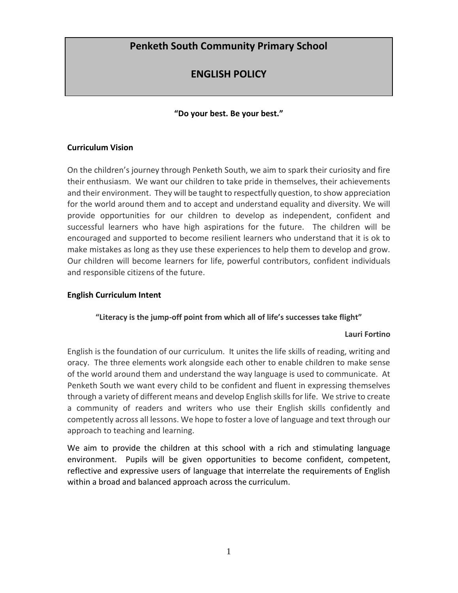# **Penketh South Community Primary School**

# **ENGLISH POLICY**

# **"Do your best. Be your best."**

## **Curriculum Vision**

On the children's journey through Penketh South, we aim to spark their curiosity and fire their enthusiasm. We want our children to take pride in themselves, their achievements and their environment. They will be taught to respectfully question, to show appreciation for the world around them and to accept and understand equality and diversity. We will provide opportunities for our children to develop as independent, confident and successful learners who have high aspirations for the future. The children will be encouraged and supported to become resilient learners who understand that it is ok to make mistakes as long as they use these experiences to help them to develop and grow. Our children will become learners for life, powerful contributors, confident individuals and responsible citizens of the future.

#### **English Curriculum Intent**

# **"Literacy is the jump-off point from which all of life's successes take flight"**

#### **Lauri Fortino**

English is the foundation of our curriculum. It unites the life skills of reading, writing and oracy. The three elements work alongside each other to enable children to make sense of the world around them and understand the way language is used to communicate. At Penketh South we want every child to be confident and fluent in expressing themselves through a variety of different means and develop English skills for life. We strive to create a community of readers and writers who use their English skills confidently and competently across all lessons. We hope to foster a love of language and text through our approach to teaching and learning.

We aim to provide the children at this school with a rich and stimulating language environment. Pupils will be given opportunities to become confident, competent, reflective and expressive users of language that interrelate the requirements of English within a broad and balanced approach across the curriculum.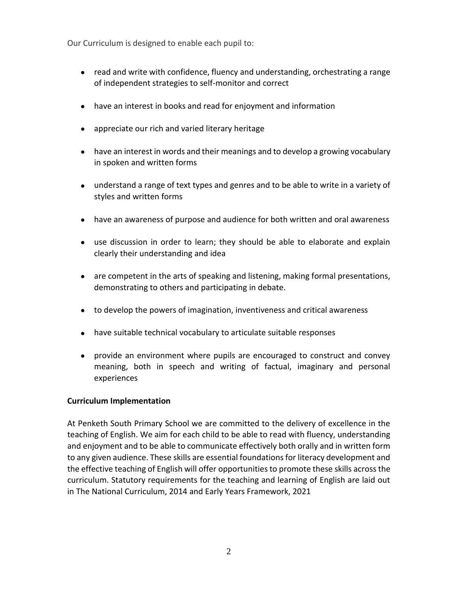Our Curriculum is designed to enable each pupil to:

- read and write with confidence, fluency and understanding, orchestrating a range of independent strategies to self-monitor and correct
- have an interest in books and read for enjoyment and information
- appreciate our rich and varied literary heritage
- have an interest in words and their meanings and to develop a growing vocabulary in spoken and written forms
- understand a range of text types and genres and to be able to write in a variety of styles and written forms
- have an awareness of purpose and audience for both written and oral awareness
- use discussion in order to learn; they should be able to elaborate and explain clearly their understanding and idea
- are competent in the arts of speaking and listening, making formal presentations, demonstrating to others and participating in debate.
- to develop the powers of imagination, inventiveness and critical awareness
- have suitable technical vocabulary to articulate suitable responses
- provide an environment where pupils are encouraged to construct and convey meaning, both in speech and writing of factual, imaginary and personal experiences

#### **Curriculum Implementation**

At Penketh South Primary School we are committed to the delivery of excellence in the teaching of English. We aim for each child to be able to read with fluency, understanding and enjoyment and to be able to communicate effectively both orally and in written form to any given audience. These skills are essential foundations for literacy development and the effective teaching of English will offer opportunities to promote these skills across the curriculum. Statutory requirements for the teaching and learning of English are laid out in The National Curriculum, 2014 and Early Years Framework, 2021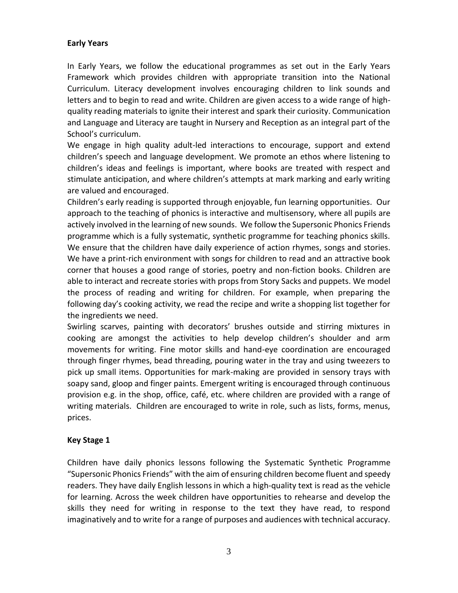# **Early Years**

In Early Years, we follow the educational programmes as set out in the Early Years Framework which provides children with appropriate transition into the National Curriculum. Literacy development involves encouraging children to link sounds and letters and to begin to read and write. Children are given access to a wide range of highquality reading materials to ignite their interest and spark their curiosity. Communication and Language and Literacy are taught in Nursery and Reception as an integral part of the School's curriculum.

We engage in high quality adult-led interactions to encourage, support and extend children's speech and language development. We promote an ethos where listening to children's ideas and feelings is important, where books are treated with respect and stimulate anticipation, and where children's attempts at mark marking and early writing are valued and encouraged.

Children's early reading is supported through enjoyable, fun learning opportunities. Our approach to the teaching of phonics is interactive and multisensory, where all pupils are actively involved in the learning of new sounds. We follow the Supersonic Phonics Friends programme which is a fully systematic, synthetic programme for teaching phonics skills. We ensure that the children have daily experience of action rhymes, songs and stories. We have a print-rich environment with songs for children to read and an attractive book corner that houses a good range of stories, poetry and non-fiction books. Children are able to interact and recreate stories with props from Story Sacks and puppets. We model the process of reading and writing for children. For example, when preparing the following day's cooking activity, we read the recipe and write a shopping list together for the ingredients we need.

Swirling scarves, painting with decorators' brushes outside and stirring mixtures in cooking are amongst the activities to help develop children's shoulder and arm movements for writing. Fine motor skills and hand-eye coordination are encouraged through finger rhymes, bead threading, pouring water in the tray and using tweezers to pick up small items. Opportunities for mark-making are provided in sensory trays with soapy sand, gloop and finger paints. Emergent writing is encouraged through continuous provision e.g. in the shop, office, café, etc. where children are provided with a range of writing materials. Children are encouraged to write in role, such as lists, forms, menus, prices.

# **Key Stage 1**

Children have daily phonics lessons following the Systematic Synthetic Programme "Supersonic Phonics Friends" with the aim of ensuring children become fluent and speedy readers. They have daily English lessons in which a high-quality text is read as the vehicle for learning. Across the week children have opportunities to rehearse and develop the skills they need for writing in response to the text they have read, to respond imaginatively and to write for a range of purposes and audiences with technical accuracy.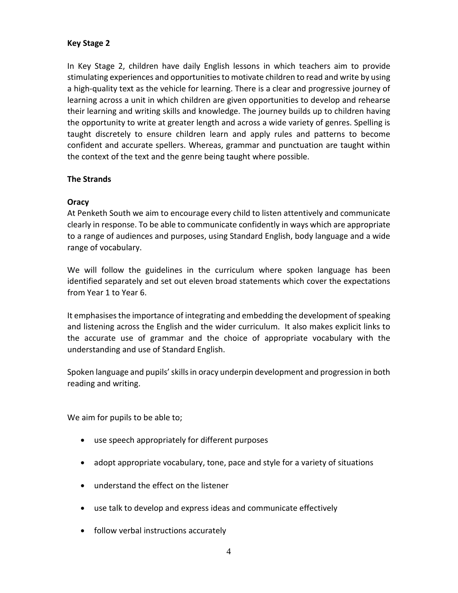## **Key Stage 2**

In Key Stage 2, children have daily English lessons in which teachers aim to provide stimulating experiences and opportunities to motivate children to read and write by using a high-quality text as the vehicle for learning. There is a clear and progressive journey of learning across a unit in which children are given opportunities to develop and rehearse their learning and writing skills and knowledge. The journey builds up to children having the opportunity to write at greater length and across a wide variety of genres. Spelling is taught discretely to ensure children learn and apply rules and patterns to become confident and accurate spellers. Whereas, grammar and punctuation are taught within the context of the text and the genre being taught where possible.

#### **The Strands**

#### **Oracy**

At Penketh South we aim to encourage every child to listen attentively and communicate clearly in response. To be able to communicate confidently in ways which are appropriate to a range of audiences and purposes, using Standard English, body language and a wide range of vocabulary.

We will follow the guidelines in the curriculum where spoken language has been identified separately and set out eleven broad statements which cover the expectations from Year 1 to Year 6.

It emphasises the importance of integrating and embedding the development of speaking and listening across the English and the wider curriculum. It also makes explicit links to the accurate use of grammar and the choice of appropriate vocabulary with the understanding and use of Standard English.

Spoken language and pupils' skills in oracy underpin development and progression in both reading and writing.

We aim for pupils to be able to;

- **•** use speech appropriately for different purposes
- **•** adopt appropriate vocabulary, tone, pace and style for a variety of situations
- **•** understand the effect on the listener
- **•** use talk to develop and express ideas and communicate effectively
- **•** follow verbal instructions accurately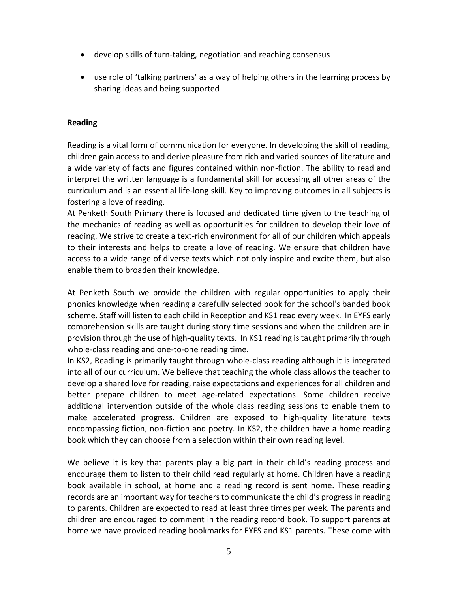- **•** develop skills of turn-taking, negotiation and reaching consensus
- **•** use role of 'talking partners' as a way of helping others in the learning process by sharing ideas and being supported

#### **Reading**

Reading is a vital form of communication for everyone. In developing the skill of reading, children gain access to and derive pleasure from rich and varied sources of literature and a wide variety of facts and figures contained within non-fiction. The ability to read and interpret the written language is a fundamental skill for accessing all other areas of the curriculum and is an essential life-long skill. Key to improving outcomes in all subjects is fostering a love of reading.

At Penketh South Primary there is focused and dedicated time given to the teaching of the mechanics of reading as well as opportunities for children to develop their love of reading. We strive to create a text-rich environment for all of our children which appeals to their interests and helps to create a love of reading. We ensure that children have access to a wide range of diverse texts which not only inspire and excite them, but also enable them to broaden their knowledge.

At Penketh South we provide the children with regular opportunities to apply their phonics knowledge when reading a carefully selected book for the school's banded book scheme. Staff will listen to each child in Reception and KS1 read every week. In EYFS early comprehension skills are taught during story time sessions and when the children are in provision through the use of high-quality texts. In KS1 reading is taught primarily through whole-class reading and one-to-one reading time.

In KS2, Reading is primarily taught through whole-class reading although it is integrated into all of our curriculum. We believe that teaching the whole class allows the teacher to develop a shared love for reading, raise expectations and experiences for all children and better prepare children to meet age-related expectations. Some children receive additional intervention outside of the whole class reading sessions to enable them to make accelerated progress. Children are exposed to high-quality literature texts encompassing fiction, non-fiction and poetry. In KS2, the children have a home reading book which they can choose from a selection within their own reading level.

We believe it is key that parents play a big part in their child's reading process and encourage them to listen to their child read regularly at home. Children have a reading book available in school, at home and a reading record is sent home. These reading records are an important way for teachers to communicate the child's progress in reading to parents. Children are expected to read at least three times per week. The parents and children are encouraged to comment in the reading record book. To support parents at home we have provided reading bookmarks for EYFS and KS1 parents. These come with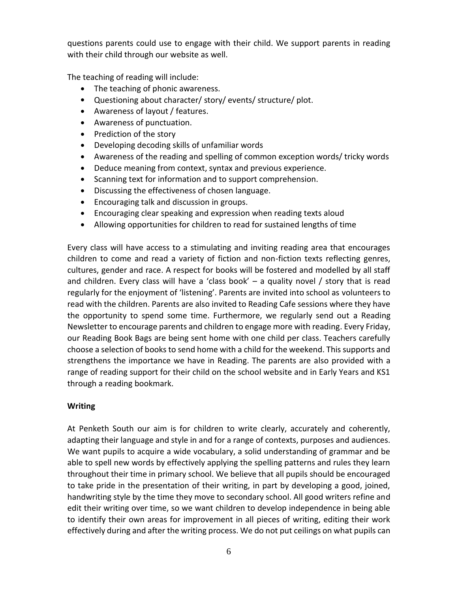questions parents could use to engage with their child. We support parents in reading with their child through our website as well.

The teaching of reading will include:

- **•** The teaching of phonic awareness.
- **•** Questioning about character/ story/ events/ structure/ plot.
- **•** Awareness of layout / features.
- **•** Awareness of punctuation.
- **•** Prediction of the story
- **•** Developing decoding skills of unfamiliar words
- **•** Awareness of the reading and spelling of common exception words/ tricky words
- **•** Deduce meaning from context, syntax and previous experience.
- **•** Scanning text for information and to support comprehension.
- **•** Discussing the effectiveness of chosen language.
- **•** Encouraging talk and discussion in groups.
- **•** Encouraging clear speaking and expression when reading texts aloud
- **•** Allowing opportunities for children to read for sustained lengths of time

Every class will have access to a stimulating and inviting reading area that encourages children to come and read a variety of fiction and non-fiction texts reflecting genres, cultures, gender and race. A respect for books will be fostered and modelled by all staff and children. Every class will have a 'class book'  $-$  a quality novel / story that is read regularly for the enjoyment of 'listening'. Parents are invited into school as volunteers to read with the children. Parents are also invited to Reading Cafe sessions where they have the opportunity to spend some time. Furthermore, we regularly send out a Reading Newsletter to encourage parents and children to engage more with reading. Every Friday, our Reading Book Bags are being sent home with one child per class. Teachers carefully choose a selection of books to send home with a child for the weekend. This supports and strengthens the importance we have in Reading. The parents are also provided with a range of reading support for their child on the school website and in Early Years and KS1 through a reading bookmark.

#### **Writing**

At Penketh South our aim is for children to write clearly, accurately and coherently, adapting their language and style in and for a range of contexts, purposes and audiences. We want pupils to acquire a wide vocabulary, a solid understanding of grammar and be able to spell new words by effectively applying the spelling patterns and rules they learn throughout their time in primary school. We believe that all pupils should be encouraged to take pride in the presentation of their writing, in part by developing a good, joined, handwriting style by the time they move to secondary school. All good writers refine and edit their writing over time, so we want children to develop independence in being able to identify their own areas for improvement in all pieces of writing, editing their work effectively during and after the writing process. We do not put ceilings on what pupils can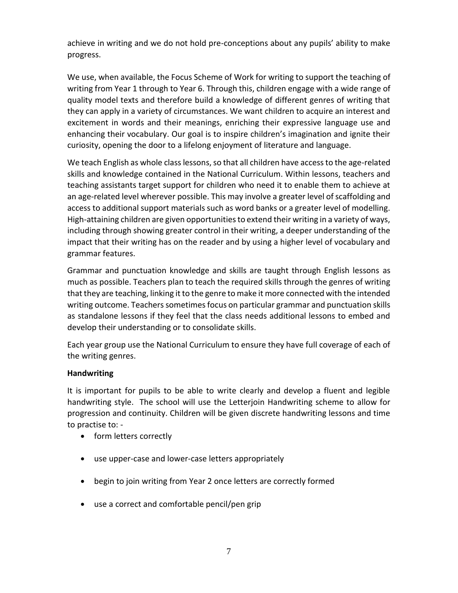achieve in writing and we do not hold pre-conceptions about any pupils' ability to make progress.

We use, when available, the Focus Scheme of Work for writing to support the teaching of writing from Year 1 through to Year 6. Through this, children engage with a wide range of quality model texts and therefore build a knowledge of different genres of writing that they can apply in a variety of circumstances. We want children to acquire an interest and excitement in words and their meanings, enriching their expressive language use and enhancing their vocabulary. Our goal is to inspire children's imagination and ignite their curiosity, opening the door to a lifelong enjoyment of literature and language.

We teach English as whole class lessons, so that all children have access to the age-related skills and knowledge contained in the National Curriculum. Within lessons, teachers and teaching assistants target support for children who need it to enable them to achieve at an age-related level wherever possible. This may involve a greater level of scaffolding and access to additional support materials such as word banks or a greater level of modelling. High-attaining children are given opportunities to extend their writing in a variety of ways, including through showing greater control in their writing, a deeper understanding of the impact that their writing has on the reader and by using a higher level of vocabulary and grammar features.

Grammar and punctuation knowledge and skills are taught through English lessons as much as possible. Teachers plan to teach the required skills through the genres of writing that they are teaching, linking it to the genre to make it more connected with the intended writing outcome. Teachers sometimes focus on particular grammar and punctuation skills as standalone lessons if they feel that the class needs additional lessons to embed and develop their understanding or to consolidate skills.

Each year group use the National Curriculum to ensure they have full coverage of each of the writing genres.

# **Handwriting**

It is important for pupils to be able to write clearly and develop a fluent and legible handwriting style. The school will use the Letterjoin Handwriting scheme to allow for progression and continuity. Children will be given discrete handwriting lessons and time to practise to: -

- **•** form letters correctly
- **•** use upper-case and lower-case letters appropriately
- **•** begin to join writing from Year 2 once letters are correctly formed
- **•** use a correct and comfortable pencil/pen grip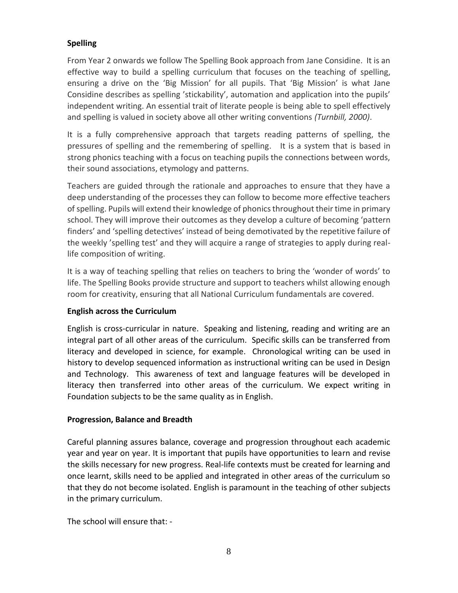# **Spelling**

From Year 2 onwards we follow The Spelling Book approach from Jane Considine. It is an effective way to build a spelling curriculum that focuses on the teaching of spelling, ensuring a drive on the 'Big Mission' for all pupils. That 'Big Mission' is what Jane Considine describes as spelling 'stickability', automation and application into the pupils' independent writing. An essential trait of literate people is being able to spell effectively and spelling is valued in society above all other writing conventions *(Turnbill, 2000)*.

It is a fully comprehensive approach that targets reading patterns of spelling, the pressures of spelling and the remembering of spelling. It is a system that is based in strong phonics teaching with a focus on teaching pupils the connections between words, their sound associations, etymology and patterns.

Teachers are guided through the rationale and approaches to ensure that they have a deep understanding of the processes they can follow to become more effective teachers of spelling. Pupils will extend their knowledge of phonics throughout their time in primary school. They will improve their outcomes as they develop a culture of becoming 'pattern finders' and 'spelling detectives' instead of being demotivated by the repetitive failure of the weekly 'spelling test' and they will acquire a range of strategies to apply during reallife composition of writing.

It is a way of teaching spelling that relies on teachers to bring the 'wonder of words' to life. The Spelling Books provide structure and support to teachers whilst allowing enough room for creativity, ensuring that all National Curriculum fundamentals are covered.

# **English across the Curriculum**

English is cross-curricular in nature. Speaking and listening, reading and writing are an integral part of all other areas of the curriculum. Specific skills can be transferred from literacy and developed in science, for example. Chronological writing can be used in history to develop sequenced information as instructional writing can be used in Design and Technology. This awareness of text and language features will be developed in literacy then transferred into other areas of the curriculum. We expect writing in Foundation subjects to be the same quality as in English.

#### **Progression, Balance and Breadth**

Careful planning assures balance, coverage and progression throughout each academic year and year on year. It is important that pupils have opportunities to learn and revise the skills necessary for new progress. Real-life contexts must be created for learning and once learnt, skills need to be applied and integrated in other areas of the curriculum so that they do not become isolated. English is paramount in the teaching of other subjects in the primary curriculum.

The school will ensure that: -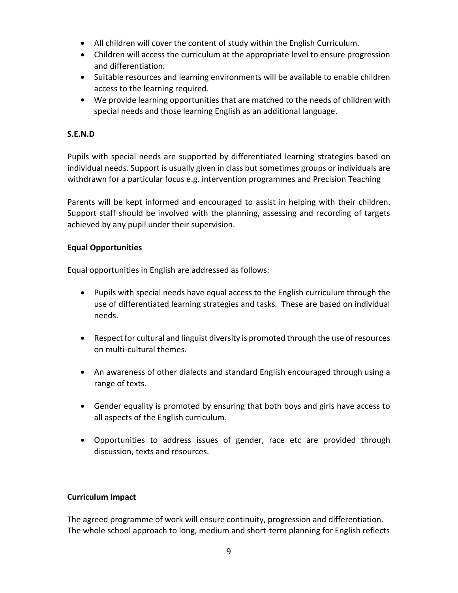- **•** All children will cover the content of study within the English Curriculum.
- **•** Children will access the curriculum at the appropriate level to ensure progression and differentiation.
- **•** Suitable resources and learning environments will be available to enable children access to the learning required.
- **•** We provide learning opportunities that are matched to the needs of children with special needs and those learning English as an additional language.

## **S.E.N.D**

Pupils with special needs are supported by differentiated learning strategies based on individual needs. Support is usually given in class but sometimes groups or individuals are withdrawn for a particular focus e.g. intervention programmes and Precision Teaching

Parents will be kept informed and encouraged to assist in helping with their children. Support staff should be involved with the planning, assessing and recording of targets achieved by any pupil under their supervision.

#### **Equal Opportunities**

Equal opportunities in English are addressed as follows:

- **•** Pupils with special needs have equal access to the English curriculum through the use of differentiated learning strategies and tasks. These are based on individual needs.
- **•** Respect for cultural and linguist diversity is promoted through the use of resources on multi-cultural themes.
- **•** An awareness of other dialects and standard English encouraged through using a range of texts.
- **•** Gender equality is promoted by ensuring that both boys and girls have access to all aspects of the English curriculum.
- **•** Opportunities to address issues of gender, race etc are provided through discussion, texts and resources.

#### **Curriculum Impact**

The agreed programme of work will ensure continuity, progression and differentiation. The whole school approach to long, medium and short-term planning for English reflects